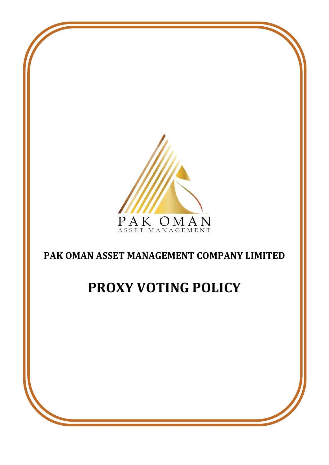

# **PAK OMAN ASSET MANAGEMENT COMPANY LIMITED**

# **PROXY VOTING POLICY**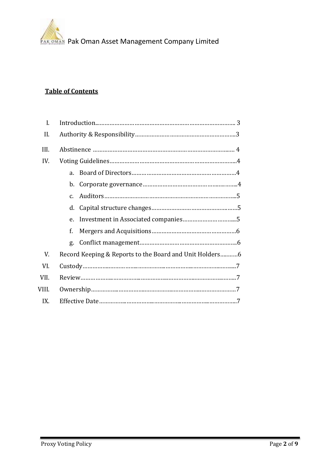

# **Table of Contents**

| I.    |                                                         |  |  |  |
|-------|---------------------------------------------------------|--|--|--|
| II.   |                                                         |  |  |  |
| III.  |                                                         |  |  |  |
| IV.   |                                                         |  |  |  |
|       | $a_{-}$                                                 |  |  |  |
|       |                                                         |  |  |  |
|       | $C_{\tau}$                                              |  |  |  |
|       | d.                                                      |  |  |  |
|       | e.                                                      |  |  |  |
|       | f.                                                      |  |  |  |
|       | g.                                                      |  |  |  |
| V.    | Record Keeping & Reports to the Board and Unit Holders6 |  |  |  |
| VI.   |                                                         |  |  |  |
| VII.  |                                                         |  |  |  |
| VIII. |                                                         |  |  |  |
| IX.   |                                                         |  |  |  |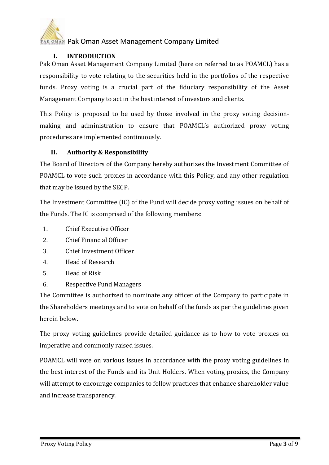

# **I. INTRODUCTION**

Pak Oman Asset Management Company Limited (here on referred to as POAMCL) has a responsibility to vote relating to the securities held in the portfolios of the respective funds. Proxy voting is a crucial part of the fiduciary responsibility of the Asset Management Company to act in the best interest of investors and clients.

This Policy is proposed to be used by those involved in the proxy voting decisionmaking and administration to ensure that POAMCL's authorized proxy voting procedures are implemented continuously.

# **II. Authority & Responsibility**

The Board of Directors of the Company hereby authorizes the Investment Committee of POAMCL to vote such proxies in accordance with this Policy, and any other regulation that may be issued by the SECP.

The Investment Committee (IC) of the Fund will decide proxy voting issues on behalf of the Funds. The IC is comprised of the following members:

- 1. Chief Executive Officer
- 2. Chief Financial Officer
- 3. Chief Investment Officer
- 4. Head of Research
- 5. Head of Risk
- 6. Respective Fund Managers

The Committee is authorized to nominate any officer of the Company to participate in the Shareholders meetings and to vote on behalf of the funds as per the guidelines given herein below.

The proxy voting guidelines provide detailed guidance as to how to vote proxies on imperative and commonly raised issues.

POAMCL will vote on various issues in accordance with the proxy voting guidelines in the best interest of the Funds and its Unit Holders. When voting proxies, the Company will attempt to encourage companies to follow practices that enhance shareholder value and increase transparency.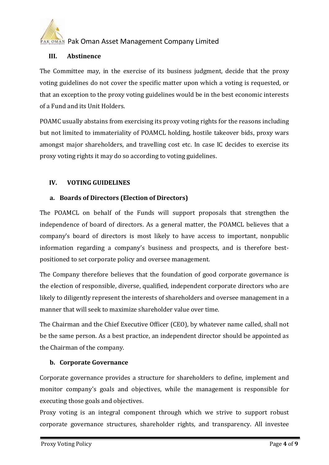

#### **III. Abstinence**

The Committee may, in the exercise of its business judgment, decide that the proxy voting guidelines do not cover the specific matter upon which a voting is requested, or that an exception to the proxy voting guidelines would be in the best economic interests of a Fund and its Unit Holders.

POAMC usually abstains from exercising its proxy voting rights for the reasons including but not limited to immateriality of POAMCL holding, hostile takeover bids, proxy wars amongst major shareholders, and travelling cost etc. In case IC decides to exercise its proxy voting rights it may do so according to voting guidelines.

### **IV. VOTING GUIDELINES**

### **a. Boards of Directors (Election of Directors)**

The POAMCL on behalf of the Funds will support proposals that strengthen the independence of board of directors. As a general matter, the POAMCL believes that a company's board of directors is most likely to have access to important, nonpublic information regarding a company's business and prospects, and is therefore bestpositioned to set corporate policy and oversee management.

The Company therefore believes that the foundation of good corporate governance is the election of responsible, diverse, qualified, independent corporate directors who are likely to diligently represent the interests of shareholders and oversee management in a manner that will seek to maximize shareholder value over time.

The Chairman and the Chief Executive Officer (CEO), by whatever name called, shall not be the same person. As a best practice, an independent director should be appointed as the Chairman of the company.

### **b. Corporate Governance**

Corporate governance provides a structure for shareholders to define, implement and monitor company's goals and objectives, while the management is responsible for executing those goals and objectives.

Proxy voting is an integral component through which we strive to support robust corporate governance structures, shareholder rights, and transparency. All investee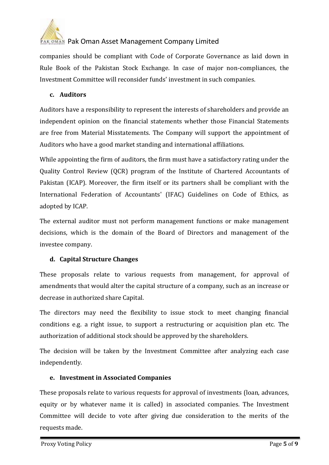

companies should be compliant with Code of Corporate Governance as laid down in Rule Book of the Pakistan Stock Exchange. In case of major non-compliances, the Investment Committee will reconsider funds' investment in such companies.

# **c. Auditors**

Auditors have a responsibility to represent the interests of shareholders and provide an independent opinion on the financial statements whether those Financial Statements are free from Material Misstatements. The Company will support the appointment of Auditors who have a good market standing and international affiliations.

While appointing the firm of auditors, the firm must have a satisfactory rating under the Quality Control Review (QCR) program of the Institute of Chartered Accountants of Pakistan (ICAP). Moreover, the firm itself or its partners shall be compliant with the International Federation of Accountants' (IFAC) Guidelines on Code of Ethics, as adopted by ICAP.

The external auditor must not perform management functions or make management decisions, which is the domain of the Board of Directors and management of the investee company.

# **d. Capital Structure Changes**

These proposals relate to various requests from management, for approval of amendments that would alter the capital structure of a company, such as an increase or decrease in authorized share Capital.

The directors may need the flexibility to issue stock to meet changing financial conditions e.g. a right issue, to support a restructuring or acquisition plan etc. The authorization of additional stock should be approved by the shareholders.

The decision will be taken by the Investment Committee after analyzing each case independently.

# **e. Investment in Associated Companies**

These proposals relate to various requests for approval of investments (loan, advances, equity or by whatever name it is called) in associated companies. The Investment Committee will decide to vote after giving due consideration to the merits of the requests made.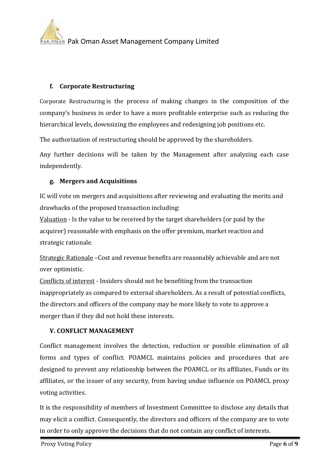# **f. Corporate Restructuring**

Corporate Restructuring is the process of making changes in the composition of the company's business in order to have a more profitable enterprise such as reducing the hierarchical levels, downsizing the employees and redesigning job positions etc.

The authorization of restructuring should be approved by the shareholders.

Any further decisions will be taken by the Management after analyzing each case independently.

### **g. Mergers and Acquisitions**

IC will vote on mergers and acquisitions after reviewing and evaluating the merits and drawbacks of the proposed transaction including:

Valuation - Is the value to be received by the target shareholders (or paid by the acquirer) reasonable with emphasis on the offer premium, market reaction and strategic rationale.

Strategic Rationale –Cost and revenue benefits are reasonably achievable and are not over optimistic.

Conflicts of interest - Insiders should not be benefiting from the transaction inappropriately as compared to external shareholders. As a result of potential conflicts, the directors and officers of the company may be more likely to vote to approve a merger than if they did not hold these interests.

### **V. CONFLICT MANAGEMENT**

Conflict management involves the detection, reduction or possible elimination of all forms and types of conflict. POAMCL maintains policies and procedures that are designed to prevent any relationship between the POAMCL or its affiliates, Funds or its affiliates, or the issuer of any security, from having undue influence on POAMCL proxy voting activities.

It is the responsibility of members of Investment Committee to disclose any details that may elicit a conflict. Consequently, the directors and officers of the company are to vote in order to only approve the decisions that do not contain any conflict of interests.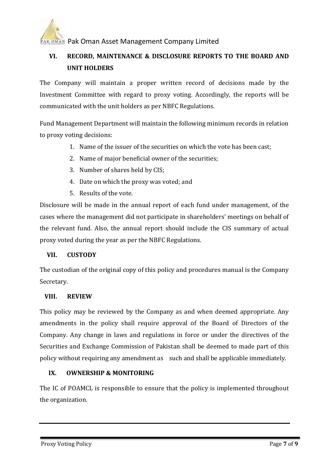

# **VI. RECORD, MAINTENANCE & DISCLOSURE REPORTS TO THE BOARD AND UNIT HOLDERS**

The Company will maintain a proper written record of decisions made by the Investment Committee with regard to proxy voting. Accordingly, the reports will be communicated with the unit holders as per NBFC Regulations.

Fund Management Department will maintain the following minimum records in relation to proxy voting decisions:

- 1. Name of the issuer of the securities on which the vote has been cast;
- 2. Name of major beneficial owner of the securities;
- 3. Number of shares held by CIS;
- 4. Date on which the proxy was voted; and
- 5. Results of the vote.

Disclosure will be made in the annual report of each fund under management, of the cases where the management did not participate in shareholders' meetings on behalf of the relevant fund. Also, the annual report should include the CIS summary of actual proxy voted during the year as per the NBFC Regulations.

### **VII. CUSTODY**

The custodian of the original copy of this policy and procedures manual is the Company Secretary.

#### **VIII. REVIEW**

This policy may be reviewed by the Company as and when deemed appropriate. Any amendments in the policy shall require approval of the Board of Directors of the Company. Any change in laws and regulations in force or under the directives of the Securities and Exchange Commission of Pakistan shall be deemed to made part of this policy without requiring any amendment as such and shall be applicable immediately.

# **IX. OWNERSHIP & MONITORING**

The IC of POAMCL is responsible to ensure that the policy is implemented throughout the organization.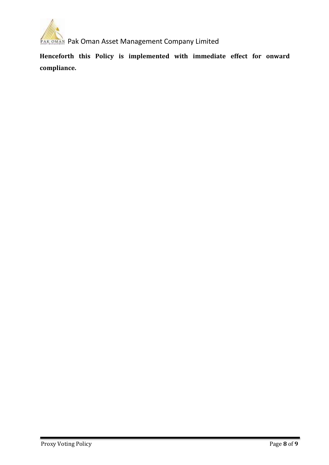

**Henceforth this Policy is implemented with immediate effect for onward compliance.**